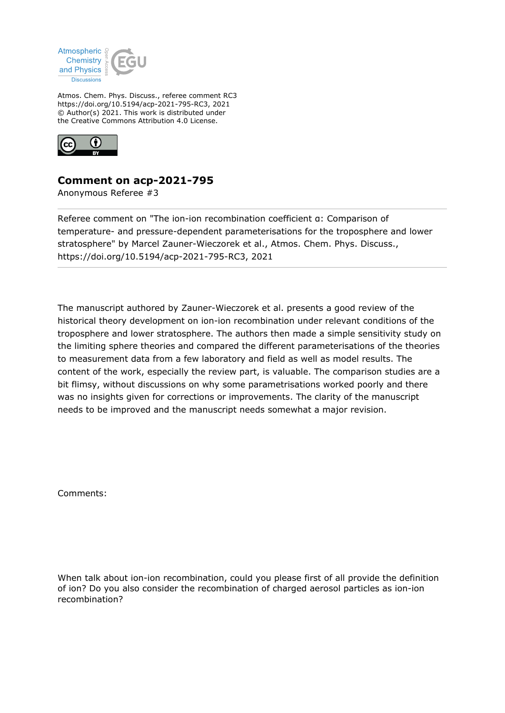

Atmos. Chem. Phys. Discuss., referee comment RC3 https://doi.org/10.5194/acp-2021-795-RC3, 2021 © Author(s) 2021. This work is distributed under the Creative Commons Attribution 4.0 License.



## **Comment on acp-2021-795**

Anonymous Referee #3

Referee comment on "The ion-ion recombination coefficient α: Comparison of temperature- and pressure-dependent parameterisations for the troposphere and lower stratosphere" by Marcel Zauner-Wieczorek et al., Atmos. Chem. Phys. Discuss., https://doi.org/10.5194/acp-2021-795-RC3, 2021

The manuscript authored by Zauner-Wieczorek et al. presents a good review of the historical theory development on ion-ion recombination under relevant conditions of the troposphere and lower stratosphere. The authors then made a simple sensitivity study on the limiting sphere theories and compared the different parameterisations of the theories to measurement data from a few laboratory and field as well as model results. The content of the work, especially the review part, is valuable. The comparison studies are a bit flimsy, without discussions on why some parametrisations worked poorly and there was no insights given for corrections or improvements. The clarity of the manuscript needs to be improved and the manuscript needs somewhat a major revision.

Comments:

When talk about ion-ion recombination, could you please first of all provide the definition of ion? Do you also consider the recombination of charged aerosol particles as ion-ion recombination?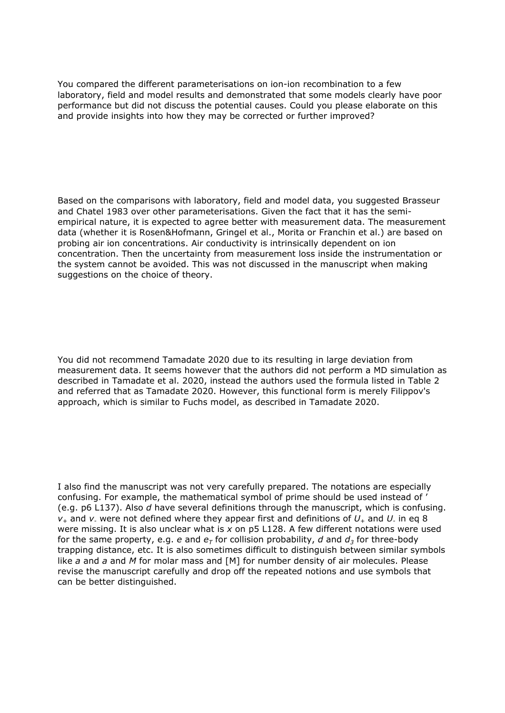You compared the different parameterisations on ion-ion recombination to a few laboratory, field and model results and demonstrated that some models clearly have poor performance but did not discuss the potential causes. Could you please elaborate on this and provide insights into how they may be corrected or further improved?

Based on the comparisons with laboratory, field and model data, you suggested Brasseur and Chatel 1983 over other parameterisations. Given the fact that it has the semiempirical nature, it is expected to agree better with measurement data. The measurement data (whether it is Rosen&Hofmann, Gringel et al., Morita or Franchin et al.) are based on probing air ion concentrations. Air conductivity is intrinsically dependent on ion concentration. Then the uncertainty from measurement loss inside the instrumentation or the system cannot be avoided. This was not discussed in the manuscript when making suggestions on the choice of theory.

You did not recommend Tamadate 2020 due to its resulting in large deviation from measurement data. It seems however that the authors did not perform a MD simulation as described in Tamadate et al. 2020, instead the authors used the formula listed in Table 2 and referred that as Tamadate 2020. However, this functional form is merely Filippov's approach, which is similar to Fuchs model, as described in Tamadate 2020.

I also find the manuscript was not very carefully prepared. The notations are especially confusing. For example, the mathematical symbol of prime should be used instead of ' (e.g. p6 L137). Also *d* have several definitions through the manuscript, which is confusing.  $v_+$  and  $v_+$  were not defined where they appear first and definitions of  $U_+$  and  $U_+$  in eq 8 were missing. It is also unclear what is *x* on p5 L128. A few different notations were used for the same property, e.g. *e* and  $e<sub>\tau</sub>$  for collision probability, *d* and  $d<sub>3</sub>$  for three-body trapping distance, etc. It is also sometimes difficult to distinguish between similar symbols like *a* and *a* and *M* for molar mass and [M] for number density of air molecules. Please revise the manuscript carefully and drop off the repeated notions and use symbols that can be better distinguished.